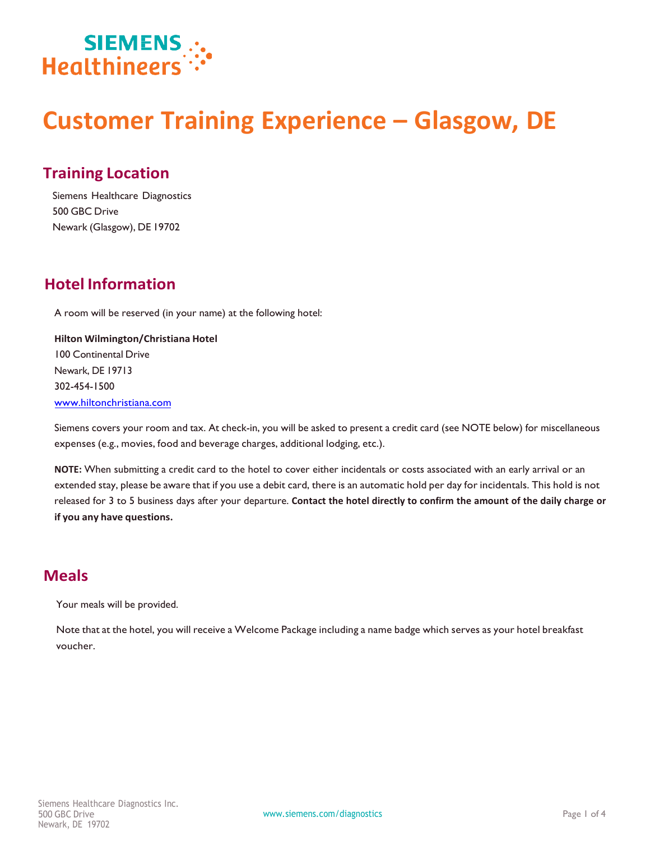

# **Customer Training Experience – Glasgow, DE**

### **Training Location**

Siemens Healthcare Diagnostics 500 GBC Drive Newark (Glasgow), DE 19702

## **Hotel Information**

A room will be reserved (in your name) at the following hotel:

**Hilton Wilmington/Christiana Hotel** 100 Continental Drive Newark, DE 19713 302-454-1500 www.hiltonchristiana.com

Siemens covers your room and tax. At check-in, you will be asked to present a credit card (see NOTE below) for miscellaneous expenses (e.g., movies, food and beverage charges, additional lodging, etc.).

**NOTE:** When submitting a credit card to the hotel to cover either incidentals or costs associated with an early arrival or an extended stay, please be aware that if you use a debit card, there is an automatic hold per day for incidentals. This hold is not released for 3 to 5 business days after your departure. **Contact the hotel directly to confirm the amount of the daily charge or if you any have [questions.](http://www.hiltonchristiana.com/)**

#### **Meals**

Your meals will be provided.

Note that at the hotel, you will receive a Welcome Package including a name badge which serves as your hotel breakfast voucher.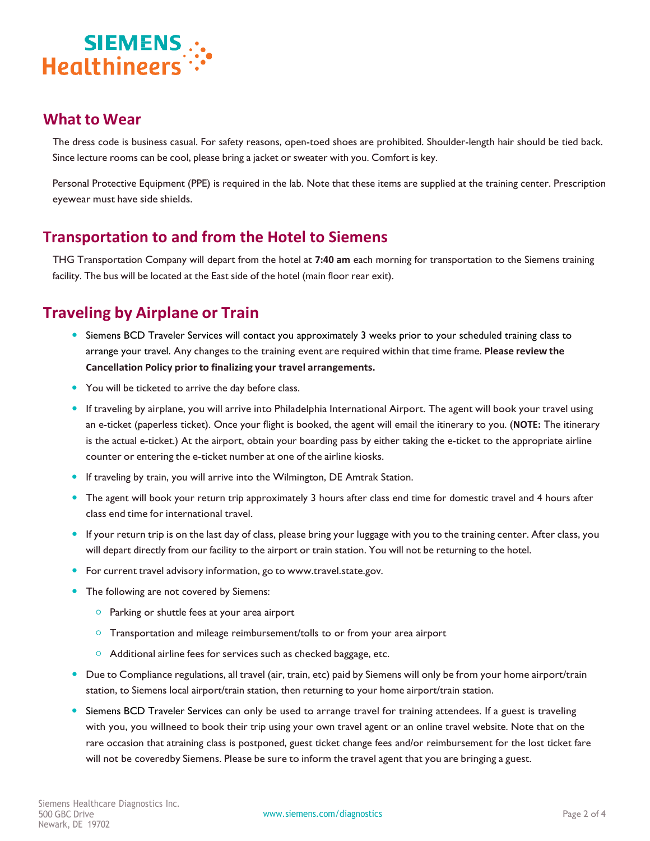

#### **What to Wear**

The dress code is business casual. For safety reasons, open-toed shoes are prohibited. Shoulder-length hair should be tied back. Since lecture rooms can be cool, please bring a jacket or sweater with you. Comfort is key.

Personal Protective Equipment (PPE) is required in the lab. Note that these items are supplied at the training center. Prescription eyewear must have side shields.

#### **Transportation to and from the Hotel to Siemens**

THG Transportation Company will depart from the hotel at **7:40 am** each morning for transportation to the Siemens training facility. The bus will be located at the East side of the hotel (main floor rear exit).

# **Traveling by Airplane or Train**

- Siemens BCD Traveler Services will contact you approximately 3 weeks prior to your scheduled training class to arrange your travel. Any changes to the training event are required within that time frame. **Please review the Cancellation Policy prior to finalizing your travel arrangements.**
- You will be ticketed to arrive the day before class.
- If traveling by airplane, you will arrive into Philadelphia International Airport. The agent will book your travel using an e-ticket (paperless ticket). Once your flight is booked, the agent will email the itinerary to you. (**NOTE:** The itinerary is the actual e-ticket.) At the airport, obtain your boarding pass by either taking the e-ticket to the appropriate airline counter or entering the e-ticket number at one of the airline kiosks.
- **If traveling by train, you will arrive into the Wilmington, DE Amtrak Station.**
- The agent will book your return trip approximately 3 hours after class end time for domestic travel and 4 hours after class end time for international travel.
- If your return trip is on the last day of class, please bring your luggage with you to the training center. After class, you will depart directly from our facility to the airport or train station. You will not be returning to the hotel.
- **•** For current travel advisory information, go to [www.travel.state.gov.](http://www.travel.state.gov/)
- The following are not covered by Siemens:
	- o Parking or shuttle fees at your area airport
	- $\circ$  Transportation and mileage reimbursement/tolls to or from your area airport
	- Additional airline fees for services such as checked baggage, etc.
- Due to Compliance regulations, all travel (air, train, etc) paid by Siemens will only be from your home airport/train station, to Siemens local airport/train station, then returning to your home airport/train station.
- Siemens BCD Traveler Services can only be used to arrange travel for training attendees. If a guest is traveling with you, you willneed to book their trip using your own travel agent or an online travel website. Note that on the rare occasion that atraining class is postponed, guest ticket change fees and/or reimbursement for the lost ticket fare will not be coveredby Siemens. Please be sure to inform the travel agent that you are bringing a guest.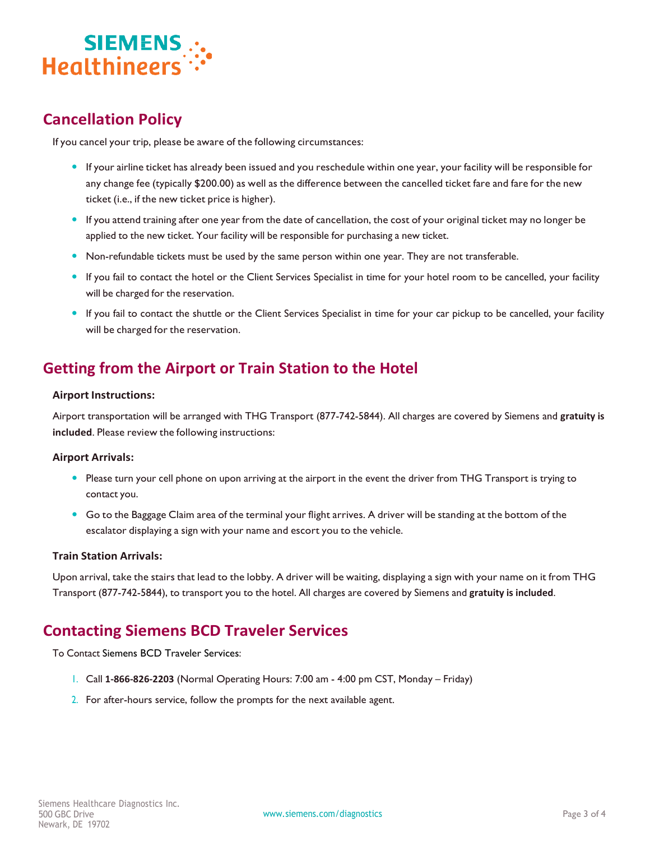

## **Cancellation Policy**

If you cancel your trip, please be aware of the following circumstances:

- If your airline ticket has already been issued and you reschedule within one year, your facility will be responsible for any change fee (typically \$200.00) as well as the difference between the cancelled ticket fare and fare for the new ticket (i.e., if the new ticket price is higher).
- If you attend training after one year from the date of cancellation, the cost of your original ticket may no longer be applied to the new ticket. Your facility will be responsible for purchasing a new ticket.
- Non-refundable tickets must be used by the same person within one year. They are not transferable.
- If you fail to contact the hotel or the Client Services Specialist in time for your hotel room to be cancelled, your facility will be charged for the reservation.
- If you fail to contact the shuttle or the Client Services Specialist in time for your car pickup to be cancelled, your facility will be charged for the reservation.

## **Getting from the Airport or Train Station to the Hotel**

#### **Airport Instructions:**

Airport transportation will be arranged with THG Transport (877-742-5844). All charges are covered by Siemens and **gratuity is included**. Please review the following instructions:

#### **Airport Arrivals:**

- Please turn your cell phone on upon arriving at the airport in the event the driver from THG Transport is trying to contact you.
- Go to the Baggage Claim area of the terminal your flight arrives. A driver will be standing at the bottom of the escalator displaying a sign with your name and escort you to the vehicle.

#### **Train Station Arrivals:**

Upon arrival, take the stairs that lead to the lobby. A driver will be waiting, displaying a sign with your name on it from THG Transport (877-742-5844), to transport you to the hotel. All charges are covered by Siemens and **gratuity is included**.

#### **Contacting Siemens BCD Traveler Services**

To Contact Siemens BCD Traveler Services:

- 1. Call **1-866-826-2203** (Normal Operating Hours: 7:00 am 4:00 pm CST, Monday Friday)
- 2. For after-hours service, follow the prompts for the next available agent.